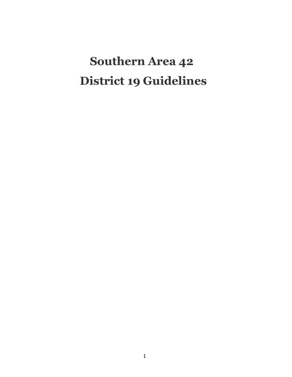# **Southern Area 42 District 19 Guidelines**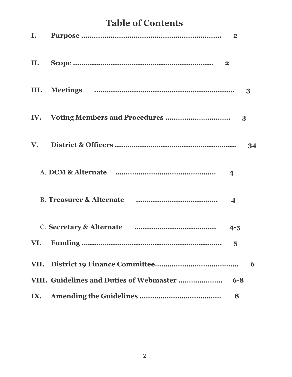# **Table of Contents**

| I. |                         |    |
|----|-------------------------|----|
|    |                         |    |
|    |                         | 3  |
|    | 3                       |    |
|    |                         | 34 |
|    |                         |    |
|    | $\overline{\mathbf{4}}$ |    |
|    |                         |    |
|    | $\overline{\mathbf{5}}$ |    |
|    |                         | 6  |
|    | $6 - 8$                 |    |
|    | 8                       |    |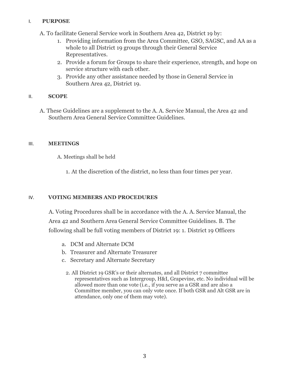#### I. **PURPOSE**

A. To facilitate General Service work in Southern Area 42, District 19 by:

- 1. Providing information from the Area Committee, GSO, SAGSC, and AA as a whole to all District 19 groups through their General Service Representatives.
- 2. Provide a forum for Groups to share their experience, strength, and hope on service structure with each other.
- 3. Provide any other assistance needed by those in General Service in Southern Area 42, District 19.

#### II. **SCOPE**

A. These Guidelines are a supplement to the A. A. Service Manual, the Area 42 and Southern Area General Service Committee Guidelines.

#### III. **MEETINGS**

A. Meetings shall be held

1. At the discretion of the district, no less than four times per year.

### IV. **VOTING MEMBERS AND PROCEDURES**

A. Voting Procedures shall be in accordance with the A. A. Service Manual, the Area 42 and Southern Area General Service Committee Guidelines. B. The following shall be full voting members of District 19: 1. District 19 Officers

- a. DCM and Alternate DCM
- b. Treasurer and Alternate Treasurer
- c. Secretary and Alternate Secretary
	- 2. All District 19 GSR's or their alternates, and all District 7 committee representatives such as Intergroup, H&I, Grapevine, etc. No individual will be allowed more than one vote (i.e., if you serve as a GSR and are also a Committee member, you can only vote once. If both GSR and Alt GSR are in attendance, only one of them may vote).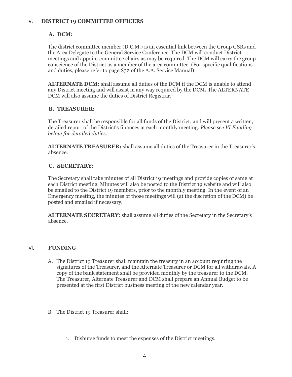#### V. **DISTRICT 19 COMMITTEE OFFICERS**

#### **A. DCM:**

The district committee member (D.C.M.) is an essential link between the Group GSRs and the Area Delegate to the General Service Conference. The DCM will conduct District meetings and appoint committee chairs as may be required. The DCM will carry the group conscience of the District as a member of the area committee. (For specific qualifications and duties, please refer to page S32 of the A.A. Service Manual).

**ALTERNATE DCM:** shall assume all duties of the DCM if the DCM is unable to attend any District meeting and will assist in any way required by the DCM**.** The ALTERNATE DCM will also assume the duties of District Registrar.

#### **B. TREASURER:**

The Treasurer shall be responsible for all funds of the District, and will present a written, detailed report of the District's finances at each monthly meeting. *Please see VI Funding below for detailed duties.*

**ALTERNATE TREASURER:** shall assume all duties of the Treasurer in the Treasurer's absence.

#### **C. SECRETARY:**

The Secretary shall take minutes of all District 19 meetings and provide copies of same at each District meeting. Minutes will also be posted to the District 19 website and will also be emailed to the District 19 members, prior to the monthly meeting. In the event of an Emergency meeting, the minutes of those meetings will (at the discretion of the DCM) be posted and emailed if necessary.

**ALTERNATE SECRETARY**: shall assume all duties of the Secretary in the Secretary's absence.

#### VI. **FUNDING**

- A. The District 19 Treasurer shall maintain the treasury in an account requiring the signatures of the Treasurer, and the Alternate Treasurer or DCM for all withdrawals. A copy of the bank statement shall be provided monthly by the treasurer to the DCM. The Treasurer, Alternate Treasurer and DCM shall prepare an Annual Budget to be presented at the first District business meeting of the new calendar year.
- B. The District 19 Treasurer shall:
	- 1. Disburse funds to meet the expenses of the District meetings.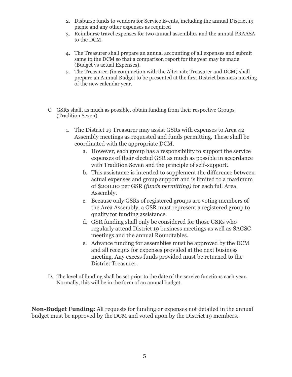- 2. Disburse funds to vendors for Service Events, including the annual District 19 picnic and any other expenses as required
- 3. Reimburse travel expenses for two annual assemblies and the annual PRAASA to the DCM.
- 4. The Treasurer shall prepare an annual accounting of all expenses and submit same to the DCM so that a comparison report for the year may be made (Budget vs actual Expenses).
- 5. The Treasurer, (in conjunction with the Alternate Treasurer and DCM) shall prepare an Annual Budget to be presented at the first District business meeting of the new calendar year.
- C. GSRs shall, as much as possible, obtain funding from their respective Groups (Tradition Seven).
	- 1. The District 19 Treasurer may assist GSRs with expenses to Area 42 Assembly meetings as requested and funds permitting. These shall be coordinated with the appropriate DCM.
		- a. However, each group has a responsibility to support the service expenses of their elected GSR as much as possible in accordance with Tradition Seven and the principle of self-support.
		- b. This assistance is intended to supplement the difference between actual expenses and group support and is limited to a maximum of \$200.00 per GSR *(funds permitting)* for each full Area Assembly.
		- c. Because only GSRs of registered groups are voting members of the Area Assembly, a GSR must represent a registered group to qualify for funding assistance.
		- d. GSR funding shall only be considered for those GSRs who regularly attend District 19 business meetings as well as SAGSC meetings and the annual Roundtables.
		- e. Advance funding for assemblies must be approved by the DCM and all receipts for expenses provided at the next business meeting. Any excess funds provided must be returned to the District Treasurer.
- D. The level of funding shall be set prior to the date of the service functions each year. Normally, this will be in the form of an annual budget.

**Non-Budget Funding:** All requests for funding or expenses not detailed in the annual budget must be approved by the DCM and voted upon by the District 19 members.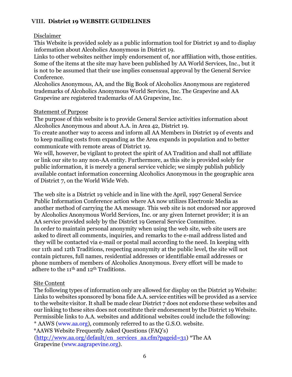# **VIII. District 19 WEBSITE GUIDELINES**

# Disclaimer

This Website is provided solely as a public information tool for District 19 and to display information about Alcoholics Anonymous in District 19.

Links to other websites neither imply endorsement of, nor affiliation with, those entities. Some of the items at the site may have been published by AA World Services, Inc., but it is not to be assumed that their use implies consensual approval by the General Service Conference.

Alcoholics Anonymous, AA, and the Big Book of Alcoholics Anonymous are registered trademarks of Alcoholics Anonymous World Services, Inc. The Grapevine and AA Grapevine are registered trademarks of AA Grapevine, Inc.

# Statement of Purpose

The purpose of this website is to provide General Service activities information about Alcoholics Anonymous and about A.A. in Area 42, District 19.

To create another way to access and inform all AA Members in District 19 of events and to keep mailing costs from expanding as the Area expands in population and to better communicate with remote areas of District 19.

We will, however, be vigilant to protect the spirit of AA Tradition and shall not affiliate or link our site to any non-AA entity. Furthermore, as this site is provided solely for public information, it is merely a general service vehicle; we simply publish publicly available contact information concerning Alcoholics Anonymous in the geographic area of District 7, on the World Wide Web.

The web site is a District 19 vehicle and in line with the April, 1997 General Service Public Information Conference action where AA now utilizes Electronic Media as another method of carrying the AA message. This web site is not endorsed nor approved by Alcoholics Anonymous World Services, Inc. or any given Internet provider; it is an AA service provided solely by the District 19 General Service Committee. In order to maintain personal anonymity when using the web site, web site users are asked to direct all comments, inquiries, and remarks to the e-mail address listed and they will be contacted via e-mail or postal mail according to the need. In keeping with our 11th and 12th Traditions, respecting anonymity at the public level, the site will not contain pictures, full names, residential addresses or identifiable email addresses or phone numbers of members of Alcoholics Anonymous. Every effort will be made to adhere to the 11th and 12th Traditions.

# Site Content

The following types of information only are allowed for display on the District 19 Website: Links to websites sponsored by bona fide A.A. service entities will be provided as a service to the website visitor. It shall be made clear District 7 does not endorse these websites and our linking to these sites does not constitute their endorsement by the District 19 Website. Permissible links to A.A. websites and additional websites could include the following:

\* AAWS (www.aa.org), commonly referred to as the G.S.O. website.

\*AAWS Website Frequently Asked Questions (FAQ's)

[\(http://www.aa.org/default/en\\_services\\_aa.cfm?pageid=31\) \\*](http://www.aa.org/default/en_services_aa.cfm?pageid=31))The AA Grapevine (www.aagrapevine.org).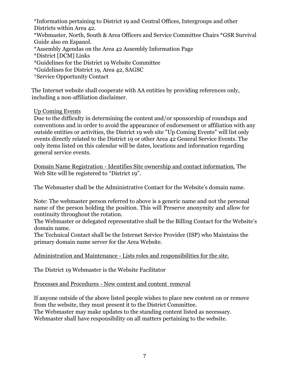\*Information pertaining to District 19 and Central Offices, Intergroups and other Districts within Area 42. \*Webmaster*,* North, South & Area Officers and Service Committee Chairs \*GSR Survival Guide also en Espanol.

\*Assembly Agendas on the Area 42 Assembly Information Page

\*District [DCM] Links

\*Guidelines for the District 19 Website Committee

\*Guidelines for District 19, Area 42, SAGSC

\*Service Opportunity Contact

The Internet website shall cooperate with AA entities by providing references only, including a non-affiliation disclaimer.

Up Coming Events

Due to the difficulty in determining the content and/or sponsorship of roundups and conventions and in order to avoid the appearance of endorsement or affiliation with any outside entities or activities, the District 19 web site "Up Coming Events" will list only events directly related to the District 19 or other Area 42 General Service Events. The only items listed on this calendar will be dates, locations and information regarding general service events.

Domain Name Registration - Identifies Site ownership and contact information. The Web Site will be registered to "District 19".

The Webmaster shall be the Administrative Contact for the Website's domain name.

Note: The webmaster person referred to above is a generic name and not the personal name of the person holding the position. This will Preserve anonymity and allow for continuity throughout the rotation.

The Webmaster or delegated representative shall be the Billing Contact for the Website's domain name.

The Technical Contact shall be the Internet Service Provider (ISP) who Maintains the primary domain name server for the Area Website.

# Administration and Maintenance - Lists roles and responsibilities for the site.

The District 19 Webmaster is the Website Facilitator

Processes and Procedures - New content and content removal

If anyone outside of the above listed people wishes to place new content on or remove from the website, they must present it to the District Committee. The Webmaster may make updates to the standing content listed as necessary.

Webmaster shall have responsibility on all matters pertaining to the website.